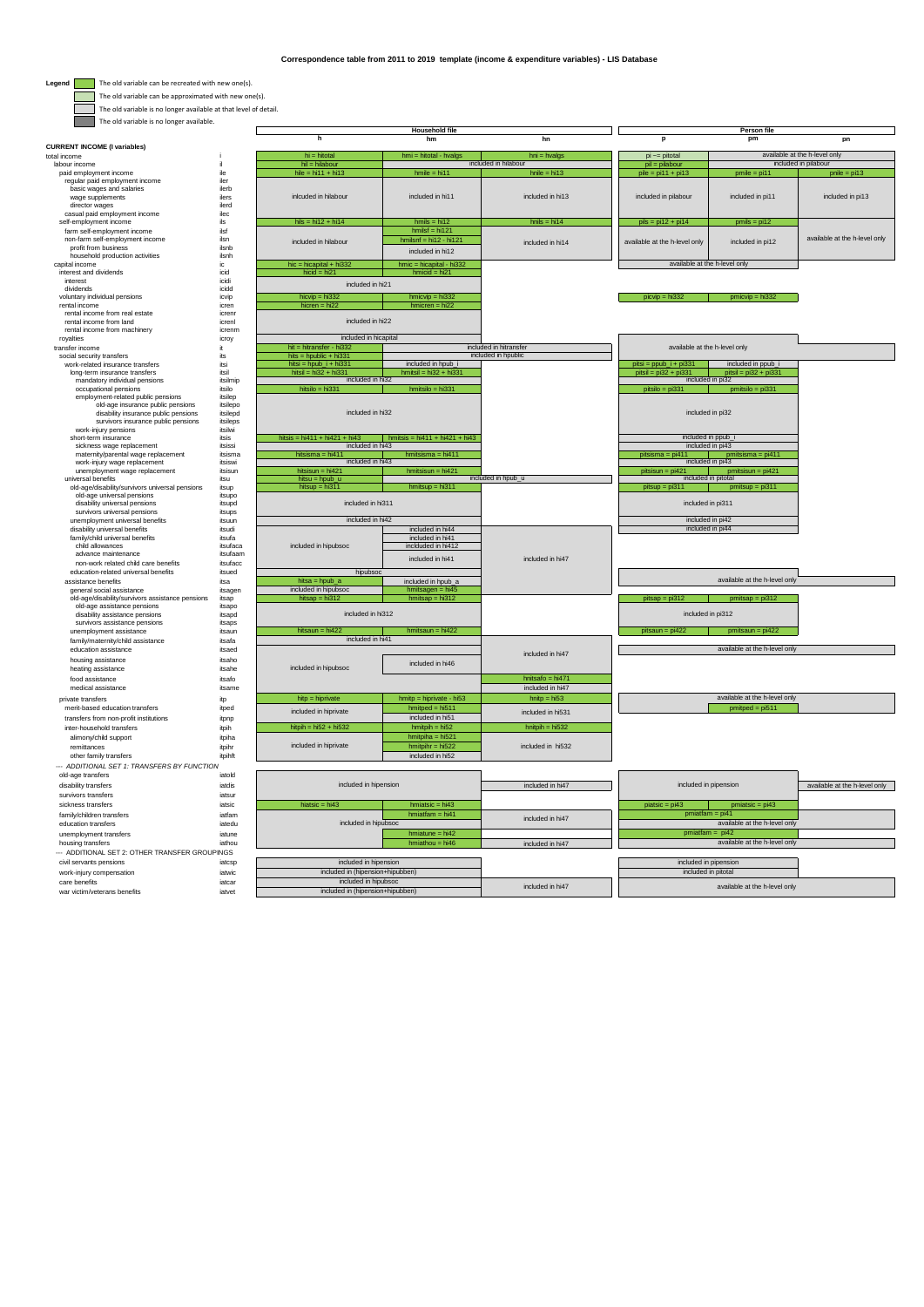$\overline{\mathbb{I}}$ 

 $\Box$ 

**Legend** The old variable can be recreated with new one(s).

The old variable can be approximated with new one(s).

| The old variable is no longer available at that level of detail.                |                      |                                             |                                                      |                                        |                                      |                                            |                               |
|---------------------------------------------------------------------------------|----------------------|---------------------------------------------|------------------------------------------------------|----------------------------------------|--------------------------------------|--------------------------------------------|-------------------------------|
| The old variable is no longer available.                                        |                      |                                             |                                                      |                                        |                                      |                                            |                               |
|                                                                                 |                      | h                                           | <b>Household file</b><br>hm                          | hn                                     | p                                    | Person file<br>pm                          | pn                            |
| <b>CURRENT INCOME (I variables)</b>                                             |                      |                                             | $hmi = hictal - hvalgs$                              |                                        |                                      |                                            | available at the h-level only |
| total income<br>labour income                                                   | il.                  | hi = hitotal<br>$hil = hilabour$            |                                                      | $hni = hvalgs$<br>included in hilabour | $pi \$ = pitotal<br>$pi = p$ ilabour |                                            | included in pilabour          |
| paid employment income                                                          | ile                  | $hile = hi11 + hi13$                        | $hmile = hi11$                                       | $h$ nile = $h$ i13                     | $pile = pi11 + pi13$                 | $pmile = pi11$                             | $p$ nile = $pi13$             |
| regular paid employment income                                                  | iler                 |                                             |                                                      |                                        |                                      |                                            |                               |
| basic wages and salaries                                                        | ilerh                | inlcuded in hilabour                        |                                                      |                                        |                                      |                                            |                               |
| wage supplements<br>director wages                                              | ilers<br>ilerd       |                                             | included in hi11                                     | included in hi13                       | included in pilabour                 | included in pi11                           | included in pi13              |
| casual paid employment income                                                   | ilec                 |                                             |                                                      |                                        |                                      |                                            |                               |
| self-employment income                                                          | ils                  | $hils = hi12 + hi14$                        | $hmls = hi12$                                        | $hnils = hi14$                         | $pils = pi12 + pi14$                 | $pmils = pi12$                             |                               |
| farm self-employment income                                                     | ilsf                 |                                             | $hmlsf = hi121$                                      |                                        |                                      |                                            |                               |
| non-farm self-employment income<br>profit from business                         | ilsn<br>ilsnh        | included in hilabour                        | $hmlsnf = hi12 - hi121$                              | included in hi14                       | available at the h-level only        | included in pi12                           | available at the h-level only |
| household production activities                                                 | ilsnh                |                                             | included in hi12                                     |                                        |                                      |                                            |                               |
| capital income                                                                  | ic                   | $hic = hicapital + hi332$                   | $hmic = hicapital - hi332$                           |                                        |                                      | available at the h-level only              |                               |
| interest and dividends                                                          | icid                 | $hicid = hi21$                              | $hmicid = hi21$                                      |                                        |                                      |                                            |                               |
| interest<br>dividends                                                           | icidi<br>icidd       | included in hi21                            |                                                      |                                        |                                      |                                            |                               |
| voluntary individual pensions                                                   | icvip                | $hicvip = hi332$                            | $hmicvip = hi332$                                    |                                        | $picvin = hi332$                     | $pmicvp = hi332$                           |                               |
| rental income                                                                   | icren                | hicren = $hi22$                             | $hmicren = hi22$                                     |                                        |                                      |                                            |                               |
| rental income from real estate                                                  | icrenr               | included in hi22                            |                                                      |                                        |                                      |                                            |                               |
| rental income from land<br>rental income from machinery                         | icrenl<br>icrenm     |                                             |                                                      |                                        |                                      |                                            |                               |
| royalties                                                                       | icroy                | included in hicapital                       |                                                      |                                        |                                      |                                            |                               |
| transfer income                                                                 | it                   | hit = hitransfer - hi332                    |                                                      | included in hitransfer                 |                                      | available at the h-level only              |                               |
| social security transfers                                                       | its                  | $hits = hpublic + hi331$                    |                                                      | included in hpublic                    |                                      |                                            |                               |
| work-related insurance transfers                                                | itsi<br>itsil        | hitsi = hpub $i + h$ i331                   | included in hpub_i<br>$h$ mitsil = $h$ i32 + $h$ i33 |                                        | pitsi = ppub_i + pi331               | included in ppub_i                         |                               |
| long-term insurance transfers<br>mandatory individual pensions                  | itsilmip             | $hitsil = hi32 + hi331$<br>included in hi32 |                                                      |                                        | $pitsil = pi32 + pi331$              | $pitsil = pi32 + pi33$<br>included in pi32 |                               |
| occupational pensions                                                           | itsilo               | $histilo = hi331$                           | $h$ mitsilo = $h$ i331                               |                                        | $pitsilo = pi331$                    | $p$ mitsilo = $pi331$                      |                               |
| employment-related public pensions                                              | itsilep              |                                             |                                                      |                                        |                                      |                                            |                               |
| old-age insurance public pensions                                               | itsilepo             | included in hi32                            |                                                      |                                        |                                      | included in pi32                           |                               |
| disability insurance public pensions<br>survivors insurance public pensions     | itsilepd<br>itsileps |                                             |                                                      |                                        |                                      |                                            |                               |
| work-iniury pensions                                                            | itsilwi              |                                             |                                                      |                                        |                                      |                                            |                               |
| short-term insurance                                                            | itsis                | hitsis = $hi411 + hi421 + hi43$             | hmitsis = $hi411 + hi421 + hi43$                     |                                        |                                      | included in ppub_i                         |                               |
| sickness wage replacement                                                       | itsissi<br>itsisma   | included in hi43                            | hmitsisma = $hi411$                                  |                                        |                                      | included in pi43                           |                               |
| maternity/parental wage replacement<br>work-injury wage replacement             | itsiswi              | hitsisma = hi411<br>included in hi43        |                                                      |                                        | $pitsisma = pi411$                   | $p$ mitsisma = $pi411$<br>included in pi43 |                               |
| unemployment wage replacement                                                   | itsisun              | hitsisun = hi421                            | $h$ mitsisun = $h$ i421                              |                                        | $pitsisun = pi421$                   | $pmitsisun = pi421$                        |                               |
| universal benefits                                                              | itsu                 | $hitsu = hpub_u$                            |                                                      | included in hpub_u                     |                                      | included in pitotal                        |                               |
| old-age/disability/survivors universal pensions                                 | itsup                | hitsup = $hi311$                            | $h$ mitsup = $h$ i311                                |                                        | $pitsup = pi311$                     | $p$ mitsup = $p$ i311                      |                               |
| old-age universal pensions<br>disability universal pensions                     | itsupo<br>itsupd     | included in hi311                           |                                                      |                                        |                                      | included in pi311                          |                               |
| survivors universal pensions                                                    | itsups               |                                             |                                                      |                                        |                                      |                                            |                               |
| unemployment universal benefits                                                 | itsuun               | included in hi42                            |                                                      |                                        |                                      | included in pi42                           |                               |
| disability universal benefits                                                   | itsudi               |                                             | included in hi44                                     |                                        |                                      | included in pi44                           |                               |
| family/child universal benefits<br>child allowances                             | itsufa<br>itsufaca   | included in hipubsoc                        | included in hi41<br>inclduded in hi412               |                                        |                                      |                                            |                               |
| advance maintenance                                                             | itsufaam             |                                             |                                                      |                                        |                                      |                                            |                               |
| non-work related child care benefits                                            | itsufacc             |                                             | included in hi41                                     | included in hi47                       |                                      |                                            |                               |
| education-related universal benefits                                            | itsued               | hipubsoc                                    |                                                      |                                        |                                      |                                            |                               |
| assistance benefits                                                             | itsa                 | $hitsa = hpub_a$                            | included in hpub_a                                   |                                        |                                      | available at the h-level only              |                               |
| general social assistance                                                       | itsagen              | included in hipubsoc<br>hitsap = $hi312$    | $hmits a gen = hi45$<br>$hmitsap = hi312$            |                                        | $pitsap = pi312$                     |                                            |                               |
| old-age/disability/survivors assistance pensions<br>old-age assistance pensions | itsap<br>itsapo      |                                             |                                                      |                                        |                                      | $pmtsap = pi312$                           |                               |
| disability assistance pensions                                                  | itsapd               | included in hi312                           |                                                      |                                        |                                      | included in pi312                          |                               |
| survivors assistance pensions                                                   | itsaps               |                                             |                                                      |                                        |                                      |                                            |                               |
| unemployment assistance                                                         | itsaun               | hitsaun = $hi422$<br>included in hi41       | $hmitsaun = hi422$                                   |                                        | $n$ itsaun = $n$ i422                | $omitsaun = ni42$                          |                               |
| family/maternity/child assistance<br>education assistance                       | itsafa<br>itsaed     |                                             |                                                      |                                        |                                      | available at the h-level only              |                               |
| housing assistance                                                              | itsaho               |                                             |                                                      | included in hi47                       |                                      |                                            |                               |
| heating assistance                                                              | itsahe               | included in hipubsoc                        | included in hi46                                     |                                        |                                      |                                            |                               |
| food assistance                                                                 | itsafo               |                                             |                                                      | hnitsafo = hi471                       |                                      |                                            |                               |
| medical assistance                                                              | itsame               |                                             |                                                      | included in hi47                       |                                      |                                            |                               |
| private transfers                                                               | itp                  | $h$ itp = $h$ iprivate                      | $hmitp = hiprivate - hi53$                           | $h$ nit $p = h$ i53                    |                                      | available at the h-level only              |                               |
| merit-based education transfers                                                 | itped                |                                             | $hmitped = hi511$                                    | included in hi531                      |                                      | $pmitped = pi511$                          |                               |
| transfers from non-profit institutions                                          | itono                | included in hiprivate                       | included in hi51                                     |                                        |                                      |                                            |                               |
| inter-household transfers                                                       | itpih                | hitpih = $hi52 + hi532$                     | $hmitpih = hi52$                                     | $h$ nitpi $h = h$ i532                 |                                      |                                            |                               |
| alimony/child support                                                           | itpiha               |                                             | $hmitpiha = hi521$                                   |                                        |                                      |                                            |                               |
| remittances                                                                     | itpihr               | included in hiprivate                       | $hmitpir = hi522$                                    | included in hi532                      |                                      |                                            |                               |
| other family transfers                                                          | itpihft              |                                             | included in hi52                                     |                                        |                                      |                                            |                               |
| --- ADDITIONAL SET 1: TRANSFERS BY FUNCTION                                     |                      |                                             |                                                      |                                        |                                      |                                            |                               |
| old-age transfers                                                               | iatold               |                                             |                                                      |                                        |                                      |                                            |                               |
| disability transfers<br>survivors transfers                                     | iatdis<br>iatsur     | included in hipension                       |                                                      | included in hi47                       |                                      | included in pipension                      | available at the h-level only |
| sickness transfers                                                              | iatsic               | hiatsic = $hi43$                            | $hmiatsic = hi43$                                    |                                        | $pi2 = pi43$                         | $pmiatsic = pi43$                          |                               |
| family/children transfers                                                       | iatfam               |                                             | $hmiatfam = hi41$                                    |                                        |                                      | $pmiatfam = pi41$                          |                               |
| education transfers                                                             | iatedu               | included in hipubsoc                        |                                                      | included in hi47                       |                                      | available at the h-level only              |                               |
|                                                                                 |                      |                                             |                                                      |                                        |                                      |                                            |                               |

| sickness transfers                             | iatsic | hiatsic = $hi43$                          | $hmiatsic = hi43$ |                  | $pi$ sic = $pi43$             | $pmiatsic = pi43$             |  |
|------------------------------------------------|--------|-------------------------------------------|-------------------|------------------|-------------------------------|-------------------------------|--|
| family/children transfers                      | iatfam | $hmiatfam = hi41$<br>included in hipubsoc |                   | included in hi47 | $pmiatfam = pi41$             |                               |  |
| education transfers                            | iatedu |                                           |                   |                  | available at the h-level only |                               |  |
| unemployment transfers                         | iatune |                                           | $hmiature = hi42$ |                  |                               | $pmiatfam = pi42$             |  |
| housing transfers                              | iathou |                                           | $hmiathou = hi46$ | included in hi47 |                               | available at the h-level only |  |
| --- ADDITIONAL SET 2: OTHER TRANSFER GROUPINGS |        |                                           |                   |                  |                               |                               |  |
| civil servants pensions                        | iatcsp | included in hipension                     |                   |                  |                               | included in pipension         |  |
| work-injury compensation                       | iatwic | included in (hipension+hipubben)          |                   |                  |                               | included in pitotal           |  |
| care benefits                                  | iatcar | included in hipubsoc                      |                   | included in hi47 | available at the h-level only |                               |  |
| war victim/veterans benefits                   | iatvet | included in (hipension+hipubben)          |                   |                  |                               |                               |  |
|                                                |        |                                           |                   |                  |                               |                               |  |